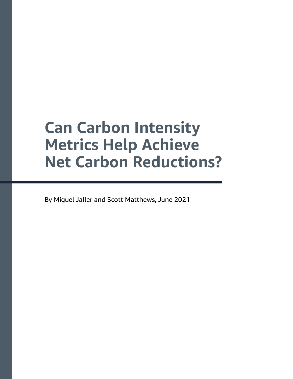# **Can Carbon Intensity Metrics Help Achieve Net Carbon Reductions?**

By Miguel Jaller and Scott Matthews, June 2021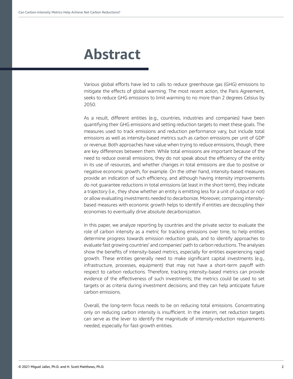# **Abstract**

Various global efforts have led to calls to reduce greenhouse gas (GHG) emissions to mitigate the effects of global warming. The most recent action, the Paris Agreement, seeks to reduce GHG emissions to limit warming to no more than 2 degrees Celsius by 2050.

As a result, different entities (e.g., countries, industries and companies) have been quantifying their GHG emissions and setting reduction targets to meet these goals. The measures used to track emissions and reduction performance vary, but include total emissions as well as intensity-based metrics such as carbon emissions per unit of GDP or revenue. Both approaches have value when trying to reduce emissions, though, there are key differences between them. While total emissions are important because of the need to reduce overall emissions, they do not speak about the efficiency of the entity in its use of resources, and whether changes in total emissions are due to positive or negative economic growth, for example. On the other hand, intensity-based measures provide an indication of such efficiency, and although having intensity improvements do not guarantee reductions in total emissions (at least in the short term), they indicate a trajectory (i.e., they show whether an entity is emitting less for a unit of output or not) or allow evaluating investments needed to decarbonize. Moreover, comparing intensitybased measures with economic growth helps to identify if entities are decoupling their economies to eventually drive absolute decarbonization.

In this paper, we analyze reporting by countries and the private sector to evaluate the role of carbon intensity as a metric for tracking emissions over time, to help entities determine progress towards emission reduction goals, and to identify approaches to evaluate fast growing countries' and companies' path to carbon reductions. The analyses show the benefits of intensity-based metrics, especially for entities experiencing rapid growth. These entities generally need to make significant capital investments (e.g., infrastructure, processes, equipment) that may not have a short-term payoff with respect to carbon reductions. Therefore, tracking intensity-based metrics can provide evidence of the effectiveness of such investments; the metrics could be used to set targets or as criteria during investment decisions; and they can help anticipate future carbon emissions.

Overall, the long-term focus needs to be on reducing total emissions. Concentrating only on reducing carbon intensity is insufficient. In the interim, net reduction targets can serve as the lever to identify the magnitude of intensity-reduction requirements needed, especially for fast-growth entities.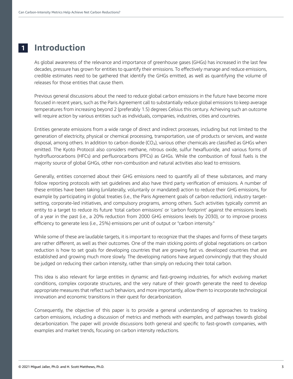#### **Introduction 1**

As global awareness of the relevance and importance of greenhouse gases (GHGs) has increased in the last few decades, pressure has grown for entities to quantify their emissions. To effectively manage and reduce emissions, credible estimates need to be gathered that identify the GHGs emitted, as well as quantifying the volume of releases for those entities that cause them.

Previous general discussions about the need to reduce global carbon emissions in the future have become more focused in recent years, such as the Paris Agreement call to substantially reduce global emissions to keep average temperatures from increasing beyond 2 (preferably 1.5) degrees Celsius this century. Achieving such an outcome will require action by various entities such as individuals, companies, industries, cities and countries.

Entities generate emissions from a wide range of direct and indirect processes, including but not limited to the generation of electricity, physical or chemical processing, transportation, use of products or services, and waste disposal, among others. In addition to carbon dioxide (CO<sub>2</sub>), various other chemicals are classified as GHGs when emitted. The Kyoto Protocol also considers methane, nitrous oxide, sulfur hexafluoride, and various forms of hydrofluorocarbons (HFCs) and perfluorocarbons (PFCs) as GHGs. While the combustion of fossil fuels is the majority source of global GHGs, other non-combustion and natural activities also lead to emissions.

Generally, entities concerned about their GHG emissions need to quantify all of these substances, and many follow reporting protocols with set guidelines and also have third party verification of emissions. A number of these entities have been taking (unilaterally, voluntarily or mandated) action to reduce their GHG emissions, for example by participating in global treaties (i.e., the Paris Agreement goals of carbon reduction), industry targetsetting, corporate-led initiatives, and compulsory programs, among others. Such activities typically commit an entity to a target to reduce its future 'total carbon emissions' or 'carbon footprint' against the emissions levels of a year in the past (i.e., a 20% reduction from 2000 GHG emissions levels by 2030), or to improve process efficiency to generate less (i.e., 25%) emissions per unit of output or "carbon intensity."

While some of these are laudable targets, it is important to recognize that the shapes and forms of these targets are rather different, as well as their outcomes. One of the main sticking points of global negotiations on carbon reduction is how to set goals for developing countries that are growing fast vs. developed countries that are established and growing much more slowly. The developing nations have argued convincingly that they should be judged on reducing their carbon intensity, rather than simply on reducing their total carbon.

This idea is also relevant for large entities in dynamic and fast-growing industries, for which evolving market conditions, complex corporate structures, and the very nature of their growth generate the need to develop appropriate measures that reflect such behaviors, and more importantly, allow them to incorporate technological innovation and economic transitions in their quest for decarbonization.

Consequently, the objective of this paper is to provide a general understanding of approaches to tracking carbon emissions, including a discussion of metrics and methods with examples, and pathways towards global decarbonization. The paper will provide discussions both general and specific to fast-growth companies, with examples and market trends, focusing on carbon intensity reductions.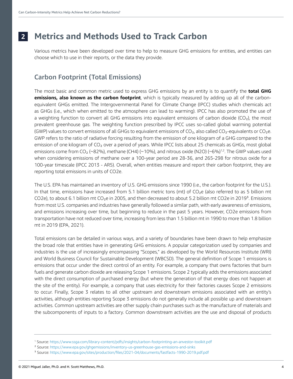#### **Metrics and Methods Used to Track Carbon 2**

Various metrics have been developed over time to help to measure GHG emissions for entities, and entities can choose which to use in their reports, or the data they provide.

## Carbon Footprint (Total Emissions)

The most basic and common metric used to express GHG emissions by an entity is to quantify the **total GHG emissions, also known as the carbon footprint**, which is typically measured by adding up all of the carbonequivalent GHGs emitted. The Intergovernmental Panel for Climate Change (IPCC) studies which chemicals act as GHGs (i.e., which when emitted to the atmosphere can lead to warming). IPCC has also promoted the use of a weighting function to convert all GHG emissions into equivalent emissions of carbon dioxide (CO<sub>2</sub>), the most prevalent greenhouse gas. The weighting function prescribed by IPCC uses so-called global warming potential (GWP) values to convert emissions of all GHGs to equivalent emissions of CO<sub>2</sub>, also called CO<sub>2</sub>-equivalents or CO<sub>2</sub>e. GWP refers to the ratio of radiative forcing resulting from the emission of one kilogram of a GHG compared to the emission of one kilogram of CO<sub>2</sub> over a period of years. While IPCC lists about 25 chemicals as GHGs, most global emissions come from CO<sub>2</sub> (~82%), methane (CH4) (~10%), and nitrous oxide (N2O) (~6%)<sup>1,2</sup>. The GWP values used when considering emissions of methane over a 100-year period are 28-36, and 265-298 for nitrous oxide for a 100-year timescale (IPCC 2013 - AR5). Overall, when entities measure and report their carbon footprint, they are reporting total emissions in units of CO2e.

The U.S. EPA has maintained an inventory of U.S. GHG emissions since 1990 (i.e., the carbon footprint for the U.S.). In that time, emissions have increased from 5.1 billion metric tons (mt) of  $CO<sub>2</sub>e$  (also referred to as 5 billion mt CO2e), to about 6.1 billion mt CO<sub>2</sub>e in 2005, and then decreased to about 5.2 billion mt CO2e in 2019<sup>3</sup>. Emissions from most U.S. companies and industries have generally followed a similar path, with early awareness of emissions, and emissions increasing over time, but beginning to reduce in the past 5 years. However, CO2e emissions from transportation have not reduced over time, increasing from less than 1.5 billion mt in 1990 to more than 1.8 billion mt in 2019 (EPA, 2021).

Total emissions can be detailed in various ways, and a variety of boundaries have been drawn to help emphasize the broad role that entities have in generating GHG emissions. A popular categorization used by companies and industries is the use of increasingly encompassing "Scopes," as developed by the World Resources Institute (WRI) and World Business Council for Sustainable Development (WBCSD). The general definition of Scope 1 emissions is emissions that occur under the direct control of an entity. For example, a company that owns factories that burn fuels and generate carbon dioxide are releasing Scope 1 emissions. Scope 2 typically adds the emissions associated with the direct consumption of purchased energy (but where the generation of that energy does not happen at the site of the entity). For example, a company that uses electricity for their factories causes Scope 2 emissions to occur. Finally, Scope 3 relates to all other upstream and downstream emissions associated with an entity's activities, although entities reporting Scope 3 emissions do not generally include all possible up and downstream activities. Common upstream activities are other supply chain purchases such as the manufacture of materials and the subcomponents of inputs to a factory. Common downstream activities are the use and disposal of products

<sup>1</sup> Source:<https://www.ssga.com/library-content/pdfs/insights/carbon-footprinting-an-anvestor-toolkit.pdf>

² Source: <https://www.epa.gov/ghgemissions/inventory-us-greenhouse-gas-emissions-and-sinks>

³ Source: <https://www.epa.gov/sites/production/files/2021-04/documents/fastfacts-1990-2019.pdf.pdf>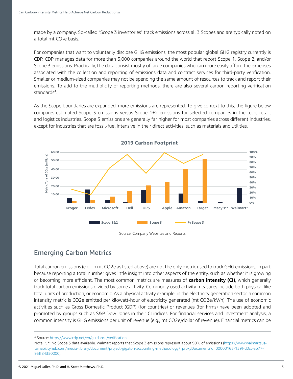made by a company. So-called "Scope 3 inventories" track emissions across all 3 Scopes and are typically noted on a total mt CO<sub>2</sub>e basis.

For companies that want to voluntarily disclose GHG emissions, the most popular global GHG registry currently is CDP. CDP manages data for more than 5,000 companies around the world that report Scope 1, Scope 2, and/or Scope 3 emissions. Practically, the data consist mostly of large companies who can more easily afford the expenses associated with the collection and reporting of emissions data and contract services for third-party verification. Smaller or medium-sized companies may not be spending the same amount of resources to track and report their emissions. To add to the multiplicity of reporting methods, there are also several carbon reporting verification standards<sup>4</sup>.

As the Scope boundaries are expanded, more emissions are represented. To give context to this, the figure below compares estimated Scope 3 emissions versus Scope 1+2 emissions for selected companies in the tech, retail, and logistics industries. Scope 3 emissions are generally far higher for most companies across different industries, except for industries that are fossil-fuel intensive in their direct activities, such as materials and utilities.







### Emerging Carbon Metrics

Total carbon emissions (e.g., in mt CO2e as listed above) are not the only metric used to track GHG emissions, in part because reporting a total number gives little insight into other aspects of the entity, such as whether it is growing or becoming more efficient. The most common metrics are measures of **carbon intensity (CI)**, which generally track total carbon emissions divided by some activity. Commonly used activity measures include both physical like total units of production, or economic. As a physical activity example, in the electricity generation sector, a common intensity metric is CO2e emitted per kilowatt-hour of electricity generated (mt CO2e/kWh). The use of economic activities such as Gross Domestic Product (GDP) (for countries) or revenues (for firms) have been adopted and promoted by groups such as S&P Dow Jones in their CI indices. For financial services and investment analysis, a common intensity is GHG emissions per unit of revenue (e.g., mt CO2e/dollar of revenue). Financial metrics can be

<sup>4</sup> Source:<https://www.cdp.net/en/guidance/verification>

Note: \*, \*\* No Scope 3 data available. Walmart reports that Scope 3 emissions represent about 90% of emissions [\(https://www.walmartsus](https://www.walmartsustainabilityhub.com/media-library/document/project-gigaton-accounting-methodolo)[tainabilityhub.com/media-library/document/project-gigaton-accounting-methodology/\\_proxyDocument?id=00000165-159f-d0cc-ab77-](https://www.walmartsustainabilityhub.com/media-library/document/project-gigaton-accounting-methodolo) [95ff84350000](https://www.walmartsustainabilityhub.com/media-library/document/project-gigaton-accounting-methodolo)).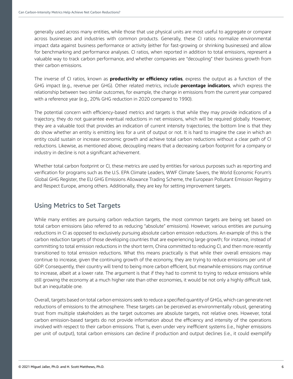generally used across many entities, while those that use physical units are most useful to aggregate or compare across businesses and industries with common products. Generally, these CI ratios normalize environmental impact data against business performance or activity (either for fast-growing or shrinking businesses) and allow for benchmarking and performance analyses. CI ratios, when reported in addition to total emissions, represent a valuable way to track carbon performance, and whether companies are "decoupling" their business growth from their carbon emissions.

The inverse of CI ratios, known as **productivity or efficiency ratios**, express the output as a function of the GHG impact (e.g., revenue per GHG). Other related metrics, include **percentage indicators**, which express the relationship between two similar outcomes, for example, the change in emissions from the current year compared with a reference year (e.g., 20% GHG reduction in 2020 compared to 1990).

The potential concern with efficiency-based metrics and targets is that while they may provide indications of a trajectory, they do not guarantee eventual reductions in net emissions, which will be required globally. However, they are a valuable tool that provides an indication of current intensity trajectories; the bottom line is that they do show whether an entity is emitting less for a unit of output or not. It is hard to imagine the case in which an entity could sustain or increase economic growth and achieve total carbon reductions without a clear path of CI reductions. Likewise, as mentioned above, decoupling means that a decreasing carbon footprint for a company or industry in decline is not a significant achievement.

Whether total carbon footprint or CI, these metrics are used by entities for various purposes such as reporting and verification for programs such as the U.S. EPA Climate Leaders, WWF Climate Savers, the World Economic Forum's Global GHG Register, the EU GHG Emissions Allowance Trading Scheme, the European Pollutant Emission Registry and Respect Europe, among others. Additionally, they are key for setting improvement targets.

## Using Metrics to Set Targets

While many entities are pursuing carbon reduction targets, the most common targets are being set based on total carbon emissions (also referred to as reducing "absolute" emissions). However, various entities are pursuing reductions in CI as opposed to exclusively pursuing absolute carbon emission reductions. An example of this is the carbon reduction targets of those developing countries that are experiencing large growth; for instance, instead of committing to total emission reductions in the short term, China committed to reducing CI, and then more recently transitioned to total emission reductions. What this means practically is that while their overall emissions may continue to increase, given the continuing growth of the economy, they are trying to reduce emissions per unit of GDP. Consequently, their country will trend to being more carbon efficient, but meanwhile emissions may continue to increase, albeit at a lower rate. The argument is that if they had to commit to trying to reduce emissions while still growing the economy at a much higher rate than other economies, it would be not only a highly difficult task, but an inequitable one.

Overall, targets based on total carbon emissions seek to reduce a specified quantity of GHGs, which can generate net reductions of emissions to the atmosphere. These targets can be perceived as environmentally robust, generating trust from multiple stakeholders as the target outcomes are absolute targets, not relative ones. However, total carbon emission-based targets do not provide information about the efficiency and intensity of the operations involved with respect to their carbon emissions. That is, even under very inefficient systems (i.e., higher emissions per unit of output), total carbon emissions can decline if production and output declines (i.e., it could exemplify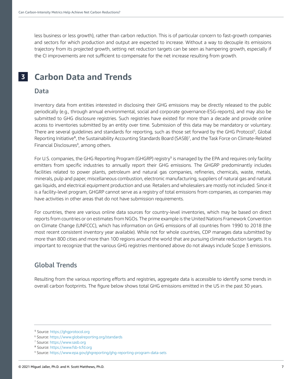less business or less growth), rather than carbon reduction. This is of particular concern to fast-growth companies and sectors for which production and output are expected to increase. Without a way to decouple its emissions trajectory from its projected growth, setting net reduction targets can be seen as hampering growth, especially if the CI improvements are not sufficient to compensate for the net increase resulting from growth.

#### **Carbon Data and Trends 3**

#### Data

Inventory data from entities interested in disclosing their GHG emissions may be directly released to the public periodically (e.g., through annual environmental, social and corporate governance-ESG-reports), and may also be submitted to GHG disclosure registries. Such registries have existed for more than a decade and provide online access to inventories submitted by an entity over time. Submission of this data may be mandatory or voluntary. There are several guidelines and standards for reporting, such as those set forward by the GHG Protocol<sup>5</sup>, Global Reporting Initiative<sup>6</sup>, the Sustainability Accounting Standards Board (SASB)<sup>7</sup>, and the Task Force on Climate-Related Financial Disclosures<sup>8</sup>, among others.

For U.S. companies, the GHG Reporting Program (GHGRP) registry<sup>9</sup> is managed by the EPA and requires only facility emitters from specific industries to annually report their GHG emissions. The GHGRP predominantly includes facilities related to power plants, petroleum and natural gas companies, refineries, chemicals, waste, metals, minerals, pulp and paper, miscellaneous combustion, electronic manufacturing, suppliers of natural gas and natural gas liquids, and electrical equipment production and use. Retailers and wholesalers are mostly not included. Since it is a facility-level program, GHGRP cannot serve as a registry of total emissions from companies, as companies may have activities in other areas that do not have submission requirements.

For countries, there are various online data sources for country-level inventories, which may be based on direct reports from countries or on estimates from NGOs. The prime example is the United Nations Framework Convention on Climate Change (UNFCCC), which has information on GHG emissions of all countries from 1990 to 2018 (the most recent consistent inventory year available). While not for whole countries, CDP manages data submitted by more than 800 cities and more than 100 regions around the world that are pursuing climate reduction targets. It is important to recognize that the various GHG registries mentioned above do not always include Scope 3 emissions.

## Global Trends

Resulting from the various reporting efforts and registries, aggregate data is accessible to identify some trends in overall carbon footprints. The figure below shows total GHG emissions emitted in the US in the past 30 years.

⁵ Source: [https://ghgprotocol.org](https://ghgprotocol.org/ )

<sup>6</sup> Source: [https://www.globalreporting.org/standards](https://www.globalreporting.org/standards/ )

<sup>7</sup> Source: [https://www.sasb.org](https://www.sasb.org/ )

⁸ Source: <https://www.fsb-tcfd.org>

<sup>&</sup>lt;sup>9</sup> Source:<https://www.epa.gov/ghgreporting/ghg-reporting-program-data-sets>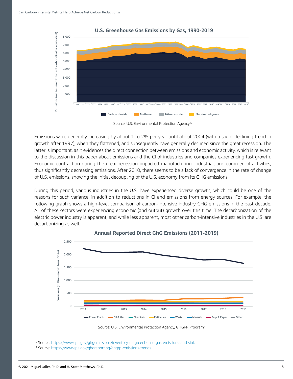



Emissions were generally increasing by about 1 to 2% per year until about 2004 (with a slight declining trend in growth after 1997), when they flattened, and subsequently have generally declined since the great recession. The latter is important, as it evidences the direct connection between emissions and economic activity, which is relevant to the discussion in this paper about emissions and the CI of industries and companies experiencing fast growth. Economic contraction during the great recession impacted manufacturing, industrial, and commercial activities, thus significantly decreasing emissions. After 2010, there seems to be a lack of convergence in the rate of change of U.S. emissions, showing the initial decoupling of the U.S. economy from its GHG emissions.

During this period, various industries in the U.S. have experienced diverse growth, which could be one of the reasons for such variance, in addition to reductions in CI and emissions from energy sources. For example, the following graph shows a high-level comparison of carbon-intensive industry GHG emissions in the past decade. All of these sectors were experiencing economic (and output) growth over this time. The decarbonization of the electric power industry is apparent, and while less apparent, most other carbon-intensive industries in the U.S. are decarbonizing as well.



#### **Annual Reported Direct GhG Emissions (2011-2019)**

10 Source: [https://www.epa.gov/ghgemissions/inventory-us-greenhouse-gas-emissions-and-sinks](https://www.epa.gov/ghgemissions/inventory-us-greenhouse-gas-emissions-and-sinks )

Source: U.S. Environmental Protection Agency<sup>10</sup>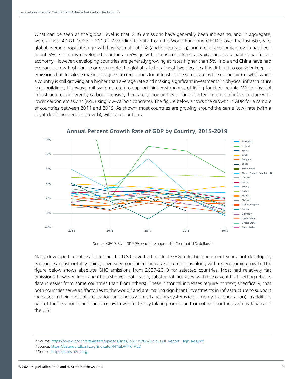What can be seen at the global level is that GHG emissions have generally been increasing, and in aggregate, were almost 40 GT CO2e in 2019<sup>12</sup>. According to data from the World Bank and OECD<sup>13</sup>, over the last 60 years, global average population growth has been about 2% (and is decreasing), and global economic growth has been about 3%. For many developed countries, a 3% growth rate is considered a typical and reasonable goal for an economy. However, developing countries are generally growing at rates higher than 3%. India and China have had economic growth of double or even triple the global rate for almost two decades. It is difficult to consider keeping emissions flat, let alone making progress on reductions (or at least at the same rate as the economic growth), when a country is still growing at a higher than average rate and making significant investments in physical infrastructure (e.g., buildings, highways, rail systems, etc.) to support higher standards of living for their people. While physical infrastructure is inherently carbon intensive, there are opportunities to "build better" in terms of infrastructure with lower carbon emissions (e.g., using low-carbon concrete). The figure below shows the growth in GDP for a sample of countries between 2014 and 2019. As shown, most countries are growing around the same (low) rate (with a slight declining trend in growth), with some outliers.



**Annual Percent Growth Rate of GDP by Country, 2015-2019**

Source: OECD. Stat, GDP (Expenditure approach), Constant U.S. dollars<sup>14</sup>

Many developed countries (including the U.S.) have had modest GHG reductions in recent years, but developing economies, most notably China, have seen continued increases in emissions along with its economic growth. The figure below shows absolute GHG emissions from 2007-2018 for selected countries. Most had relatively flat emissions, however, India and China showed noticeable, substantial increases (with the caveat that getting reliable data is easier from some countries than from others). These historical increases require context; specifically, that both countries serve as "factories to the world," and are making significant investments in infrastructure to support increases in their levels of production, and the associated ancillary systems (e.g., energy, transportation). In addition, part of their economic and carbon growth was fueled by taking production from other countries such as Japan and the U.S.

<sup>&</sup>lt;sup>12</sup> Source: [https://www.ipcc.ch/site/assets/uploads/sites/2/2019/06/SR15\\_Full\\_Report\\_High\\_Res.pdf](https://www.ipcc.ch/site/assets/uploads/sites/2/2019/06/SR15_Full_Report_High_Res.pdf)

<sup>13</sup> Source:<https://data.worldbank.org/indicator/NY.GDP.MKTP.CD>

<sup>14</sup> Source:<https://stats.oecd.org>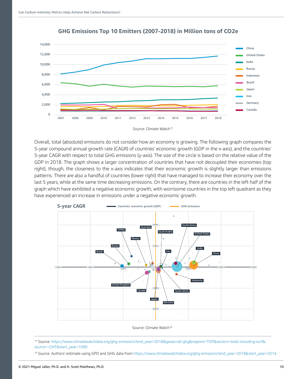

#### **GHG Emissions Top 10 Emitters (2007-2018) in Million tons of CO2e**

Overall, total (absolute) emissions do not consider how an economy is growing. The following graph compares the 5-year compound annual growth rate (CAGR) of countries' economic growth (GDP in the x-axis), and the countries' 5-year CAGR with respect to total GHG emissions (y-axis). The size of the circle is based on the relative value of the GDP in 2018. The graph shows a larger concentration of countries that have not decoupled their economies (top right), though, the closeness to the x-axis indicates that their economic growth is slightly larger than emissions patterns. There are also a handful of countries (lower right) that have managed to increase their economy over the last 5 years, while at the same time decreasing emissions. On the contrary, there are countries in the left half of the graph which have exhibited a negative economic growth, with worrisome countries in the top left quadrant as they have experienced an increase in emissions under a negative economic growth.



Source: Climate Watch16

15 Source: [https://www.climatewatchdata.org/ghg-emissions?end\\_year=2018&gases=all-ghg&regions=TOP&sectors=total-including-lucf&](https://www.climatewatchdata.org/ghg-emissions?end_year=2018&gases=all-ghg®ions=TOP§ors=total) [source=-CAIT&start\\_year=1990](https://www.climatewatchdata.org/ghg-emissions?end_year=2018&gases=all-ghg®ions=TOP§ors=total)

<sup>16</sup> [Source: Authors' estimate using GPD and GHG data from https://www.climatewatchdata.org/ghg-emissions?end\\_year=2018&start\\_year=2014](https://www.climatewatchdata.org/ghg-emissions?end_year=2018&gases=all-ghg®ions=TOP§ors=total)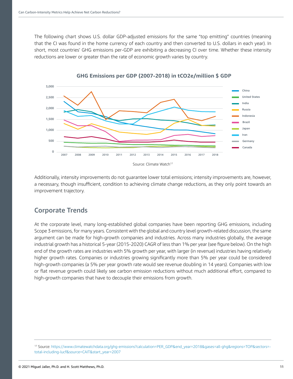The following chart shows U.S. dollar GDP-adjusted emissions for the same "top emitting" countries (meaning that the CI was found in the home currency of each country and then converted to U.S. dollars in each year). In short, most countries' GHG emissions per-GDP are exhibiting a decreasing CI over time. Whether these intensity reductions are lower or greater than the rate of economic growth varies by country.



**GHG Emissions per GDP (2007-2018) in tCO2e/million \$ GDP**

Additionally, intensity improvements do not guarantee lower total emissions; intensity improvements are, however, a necessary, though insufficient, condition to achieving climate change reductions, as they only point towards an improvement trajectory.

## Corporate Trends

At the corporate level, many long-established global companies have been reporting GHG emissions, including Scope 3 emissions, for many years. Consistent with the global and country level growth-related discussion, the same argument can be made for high-growth companies and industries. Across many industries globally, the average industrial growth has a historical 5-year (2015-2020) CAGR of less than 1% per year (see figure below). On the high end of the growth rates are industries with 5% growth per year, with larger (in revenue) industries having relatively higher growth rates. Companies or industries growing significantly more than 5% per year could be considered high-growth companies (a 5% per year growth rate would see revenue doubling in 14 years). Companies with low or flat revenue growth could likely see carbon emission reductions without much additional effort, compared to high-growth companies that have to decouple their emissions from growth.

17 Source: [https://www.climatewatchdata.org/ghg-emissions?calculation=PER\\_GDP&end\\_year=2018&gases=all-ghg&regions=TOP&sectors=](https://www.climatewatchdata.org/ghg-emissions?calculation=PER_GDP&end_year=2018&gases=all-ghg®io) [total-including-lucf&source=CAIT&start\\_year=2007](https://www.climatewatchdata.org/ghg-emissions?calculation=PER_GDP&end_year=2018&gases=all-ghg®io)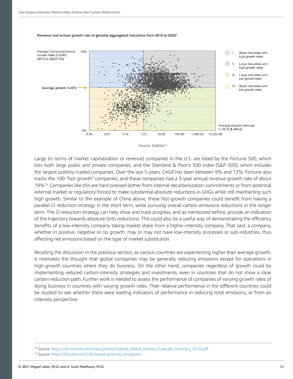

Revenue and annual growth rate of globally aggregated industries from 2015 to 20201.

Large (in terms of market capitalization or revenue) companies in the U.S. are listed by the Fortune 500, which lists both large public and private companies, and the Standard & Poor's 500 Index (S&P 500), which includes the largest publicly-traded companies. Over the last 5-years, CAGR has been between 9% and 12%. Fortune also tracks the 100 "fast growth" companies, and these companies had a 3-year annual revenue growth rate of about 19%19. Companies like this are hard-pressed (either from internal decarbonization commitments or from potential external market or regulatory forces) to make substantial absolute reductions in GHGs while still maintaining such high growth. Similar to the example of China above, these fast-growth companies could benefit from having a parallel CI reduction strategy in the short term, while pursuing overall carbon emissions reductions in the longer term. The CI reduction strategy can help show and track progress, and as mentioned before, provide an indication of the trajectory towards absolute GHG reductions. This could also be a useful way of demonstrating the efficiency benefits of a low-intensity company taking market share from a higher-intensity company. That said, a company, whether in positive, negative or no growth, may or may not have low-intensity processes or sub-industries, thus affecting net emissions based on the type of market substitution.

Recalling the discussion in the previous section, as various countries are experiencing higher than average growth, it motivates the thought that global companies may be generally reducing emissions except for operations in high-growth countries where they do business. On the other hand, companies regardless of growth could be implementing reduced carbon-intensity strategies and investments, even in countries that do not show a clear carbon reduction path. Further work is needed to assess the performance of companies of varying growth rates of doing business in countries with varying growth rates. Their relative performance in the different countries could be studied to see whether there were leading indicators of performance in reducing total emissions, or from an intensity perspective.

<sup>&</sup>lt;sup>18</sup> Source: [https://cdn.statcdn.com/static/promo/Statista\\_Global\\_Industry\\_Forecast\\_Summary\\_2016.pdf](https://cdn.statcdn.com/static/promo/Statista_Global_Industry_Forecast_Summary_2016.pdf)

<sup>19</sup> Source: [https://fortune.com/100-fastest-growing-companies/](https://fortune.com/100-fastest-growing-companies/ )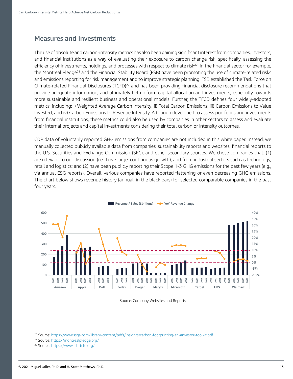### Measures and Investments

The use of absolute and carbon-intensity metrics has also been gaining significant interest from companies, investors, and financial institutions as a way of evaluating their exposure to carbon change risk, specifically, assessing the efficiency of investments, holdings, and processes with respect to climate risk<sup>20</sup>. In the financial sector for example, the Montreal Pledge<sup>21</sup> and the Financial Stability Board (FSB) have been promoting the use of climate-related risks and emissions reporting for risk management and to improve strategic planning. FSB established the Task Force on Climate-related Financial Disclosures (TCFD)<sup>22</sup> and has been providing financial disclosure recommendations that provide adequate information, and ultimately help inform capital allocation and investments, especially towards more sustainable and resilient business and operational models. Further, the TFCD defines four widely-adopted metrics, including: i) Weighted Average Carbon Intensity; ii) Total Carbon Emissions; iii) Carbon Emissions to Value Invested; and iv) Carbon Emissions to Revenue Intensity. Although developed to assess portfolios and investments from financial institutions, these metrics could also be used by companies in other sectors to assess and evaluate their internal projects and capital investments considering their total carbon or intensity outcomes.

CDP data of voluntarily reported GHG emissions from companies are not included in this white paper. Instead, we manually collected publicly available data from companies' sustainability reports and websites, financial reports to the U.S. Securities and Exchange Commission (SEC), and other secondary sources. We chose companies that: (1) are relevant to our discussion (i.e., have large, continuous growth), and from industrial sectors such as technology, retail and logistics; and (2) have been publicly reporting their Scope 1-3 GHG emissions for the past few years (e.g., via annual ESG reports). Overall, various companies have reported flattening or even decreasing GHG emissions. The chart below shows revenue history (annual, in the black bars) for selected comparable companies in the past four years.



Revenue / Sales (\$billions) **The YoY Revenue Change** 

Source: Company Websites and Reports

20 Source:<https://www.ssga.com/library-content/pdfs/insights/carbon-footprinting-an-anvestor-toolkit.pdf>

- 21 Source: [https://montrealpledge.org/](https://montrealpledge.org/ )
- 22 Source: [https://www.fsb-tcfd.org/](https://www.fsb-tcfd.org/ )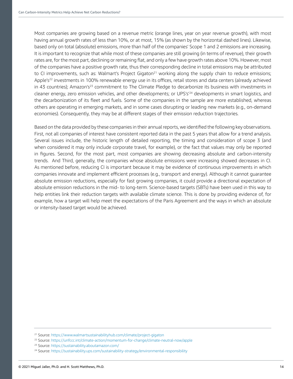Most companies are growing based on a revenue metric (orange lines, year on year revenue growth), with most having annual growth rates of less than 10%, or at most, 15% (as shown by the horizontal dashed lines). Likewise, based only on total (absolute) emissions, more than half of the companies' Scope 1 and 2 emissions are increasing. It is important to recognize that while most of these companies are still growing (in terms of revenue), their growth rates are, for the most part, declining or remaining flat, and only a few have growth rates above 10%. However, most of the companies have a positive growth rate, thus their corresponding decline in total emissions may be attributed to CI improvements, such as: Walmart's Project Gigaton<sup>21</sup> working along the supply chain to reduce emissions; Apple's<sup>22</sup> investments in 100% renewable energy use in its offices, retail stores and data centers (already achieved in 43 countries); Amazon's<sup>23</sup> commitment to The Climate Pledge to decarbonize its business with investments in cleaner energy, zero emission vehicles, and other developments; or UPS's'24 developments in smart logistics, and the decarbonization of its fleet and fuels. Some of the companies in the sample are more established, whereas others are operating in emerging markets, and in some cases disrupting or leading new markets (e.g., on-demand economies). Consequently, they may be at different stages of their emission reduction trajectories.

Based on the data provided by these companies in their annual reports, we identified the following key observations. First, not all companies of interest have consistent reported data in the past 5 years that allow for a trend analysis. Several issues include, the historic length of detailed reporting, the timing and consideration of scope 3 (and when considered it may only include corporate travel, for example), or the fact that values may only be reported in figures. Second, for the most part, most companies are showing decreasing absolute and carbon-intensity trends. And Third, generally, the companies whose absolute emissions were increasing showed decreases in CI. As mentioned before, reducing CI is important because it may be evidence of continuous improvements in which companies innovate and implement efficient processes (e.g., transport and energy). Although it cannot guarantee absolute emission reductions, especially for fast growing companies, it could provide a directional expectation of absolute emission reductions in the mid- to long-term. Science-based targets (SBTs) have been used in this way to help entities link their reduction targets with available climate science. This is done by providing evidence of, for example, how a target will help meet the expectations of the Paris Agreement and the ways in which an absolute or intensity-based target would be achieved.

22 Source:<https://unfccc.int/climate-action/momentum-for-change/climate-neutral-now/apple>

<sup>21</sup> Source:<https://www.walmartsustainabilityhub.com/climate/project-gigaton>

<sup>23</sup> Source:<https://sustainability.aboutamazon.com/>

<sup>24</sup> Source:<https://sustainability.ups.com/sustainability-strategy/environmental-responsibility>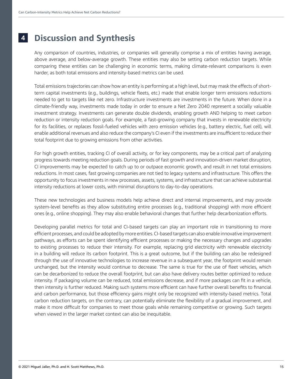#### **Discussion and Synthesis 4**

Any comparison of countries, industries, or companies will generally comprise a mix of entities having average, above average, and below-average growth. These entities may also be setting carbon reduction targets. While comparing these entities can be challenging in economic terms, making climate-relevant comparisons is even harder, as both total emissions and intensity-based metrics can be used.

Total emissions trajectories can show how an entity is performing at a high level, but may mask the effects of shortterm capital investments (e.g., buildings, vehicle fleets, etc.) made that enable longer term emissions reductions needed to get to targets like net zero. Infrastructure investments are investments in the future. When done in a climate-friendly way, investments made today in order to ensure a Net Zero 2040 represent a socially valuable investment strategy. Investments can generate double dividends, enabling growth AND helping to meet carbon reduction or intensity reduction goals. For example, a fast-growing company that invests in renewable electricity for its facilities, or replaces fossil-fueled vehicles with zero emission vehicles (e.g., battery electric, fuel cell), will enable additional revenues and also reduce the company's CI even if the investments are insufficient to reduce their total footprint due to growing emissions from other activities.

For high growth entities, tracking CI of overall activity, or for key components, may be a critical part of analyzing progress towards meeting reduction goals. During periods of fast growth and innovation-driven market disruption, CI improvements may be expected to catch up to or outpace economic growth, and result in net total emissions reductions. In most cases, fast growing companies are not tied to legacy systems and infrastructure. This offers the opportunity to focus investments in new processes, assets, systems, and infrastructure that can achieve substantial intensity reductions at lower costs, with minimal disruptions to day-to-day operations.

These new technologies and business models help achieve direct and internal improvements, and may provide system-level benefits as they allow substituting entire processes (e.g., traditional shopping) with more efficient ones (e.g., online shopping). They may also enable behavioral changes that further help decarbonization efforts.

Developing parallel metrics for total and CI-based targets can play an important role in transitioning to more efficient processes, and could be adopted by more entities. CI-based targets can also enable innovative improvement pathways, as efforts can be spent identifying efficient processes or making the necessary changes and upgrades to existing processes to reduce their intensity. For example, replacing grid electricity with renewable electricity in a building will reduce its carbon footprint. This is a great outcome, but if the building can also be redesigned through the use of innovative technologies to increase revenue in a subsequent year, the footprint would remain unchanged, but the intensity would continue to decrease. The same is true for the use of fleet vehicles, which can be decarbonized to reduce the overall footprint, but can also have delivery routes better optimized to reduce intensity. If packaging volume can be reduced, total emissions decrease, and if more packages can fit in a vehicle, then intensity is further reduced. Making such systems more efficient can have further overall benefits to financial and carbon performance, but those efficiency gains might only be recognized with intensity-based metrics. Total carbon reduction targets, on the contrary, can potentially eliminate the flexibility of a gradual improvement, and make it more difficult for companies to meet those goals while remaining competitive or growing. Such targets when viewed in the larger market context can also be inequitable.